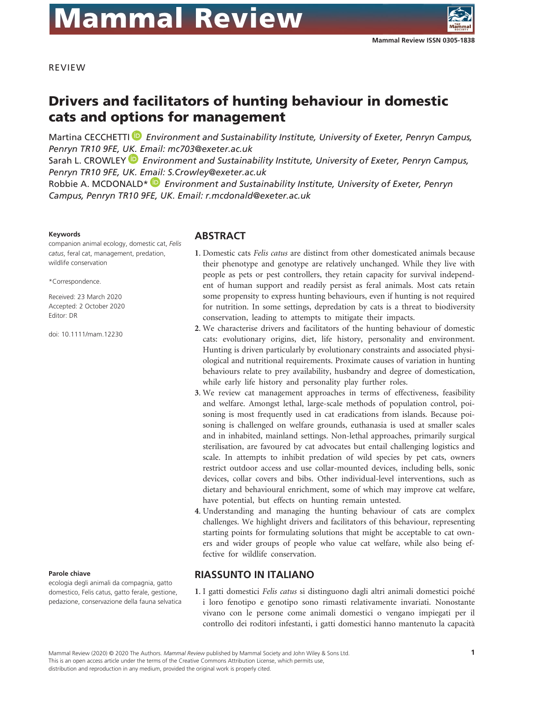

REVIEW

# Drivers and facilitators of hunting behaviour in domestic cats and options for management

Martina CECCHETTI *D* Environment and Sustainability Institute, University of Exeter, Penryn Campus, *Penryn TR10 9FE, [UK. E](https://orcid.org/0000-0002-4854-0925)mail: mc703@exeter.ac.uk*

Sarah L. CROWLEY  *Environment and Sustainability Institute, University of Exeter, Penryn Campus, Penryn TR10 9FE, UK. E[mail](https://orcid.org/0000-0002-6922-3195): S.Crowley@exeter.ac.uk*

Robbie A. MCDONALD\*  *Environment and Sustainability Institute, University of Exeter, Penryn Campus, Penryn TR10 9FE, UK. Email: r.mcdonald@exeter.ac.uk*

#### **Keywords**

companion animal ecology, domestic cat, *Felis catus*, feral cat, management, predation, wildlife conservation

\*Correspondence.

Received: 23 March 2020 Accepted: 2 October 2020 Editor: DR

doi: 10.1111/mam.12230

#### **Parole chiave**

ecologia degli animali da compagnia, gatto domestico, Felis catus, gatto ferale, gestione, pedazione, conservazione della fauna selvatica

# **ABSTRACT**

- **1**. Domestic cats *Felis catus* are distinct from other domesticated animals because their phenotype and genotype are relatively unchanged. While they live with people as pets or pest controllers, they retain capacity for survival independent of human support and readily persist as feral animals. Most cats retain some propensity to express hunting behaviours, even if hunting is not required for nutrition. In some settings, depredation by cats is a threat to biodiversity conservation, leading to attempts to mitigate their impacts.
- **2**. We characterise drivers and facilitators of the hunting behaviour of domestic cats: evolutionary origins, diet, life history, personality and environment. Hunting is driven particularly by evolutionary constraints and associated physiological and nutritional requirements. Proximate causes of variation in hunting behaviours relate to prey availability, husbandry and degree of domestication, while early life history and personality play further roles.
- **3**. We review cat management approaches in terms of effectiveness, feasibility and welfare. Amongst lethal, large-scale methods of population control, poisoning is most frequently used in cat eradications from islands. Because poisoning is challenged on welfare grounds, euthanasia is used at smaller scales and in inhabited, mainland settings. Non-lethal approaches, primarily surgical sterilisation, are favoured by cat advocates but entail challenging logistics and scale. In attempts to inhibit predation of wild species by pet cats, owners restrict outdoor access and use collar-mounted devices, including bells, sonic devices, collar covers and bibs. Other individual-level interventions, such as dietary and behavioural enrichment, some of which may improve cat welfare, have potential, but effects on hunting remain untested.
- **4**. Understanding and managing the hunting behaviour of cats are complex challenges. We highlight drivers and facilitators of this behaviour, representing starting points for formulating solutions that might be acceptable to cat owners and wider groups of people who value cat welfare, while also being effective for wildlife conservation.

# **RIASSUNTO IN ITALIANO**

**1**. I gatti domestici *Felis catus* si distinguono dagli altri animali domestici poiché i loro fenotipo e genotipo sono rimasti relativamente invariati. Nonostante vivano con le persone come animali domestici o vengano impiegati per il controllo dei roditori infestanti, i gatti domestici hanno mantenuto la capacità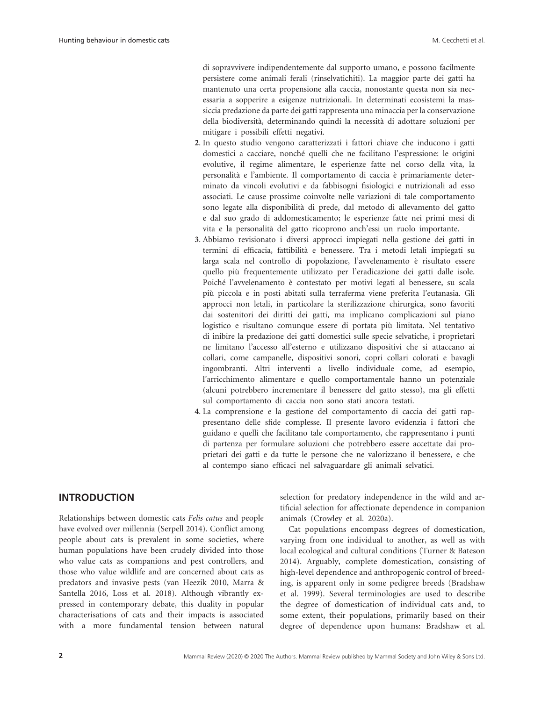di sopravvivere indipendentemente dal supporto umano, e possono facilmente persistere come animali ferali (rinselvatichiti). La maggior parte dei gatti ha mantenuto una certa propensione alla caccia, nonostante questa non sia necessaria a sopperire a esigenze nutrizionali. In determinati ecosistemi la massiccia predazione da parte dei gatti rappresenta una minaccia per la conservazione della biodiversità, determinando quindi la necessità di adottare soluzioni per mitigare i possibili effetti negativi.

- **2**. In questo studio vengono caratterizzati i fattori chiave che inducono i gatti domestici a cacciare, nonché quelli che ne facilitano l'espressione: le origini evolutive, il regime alimentare, le esperienze fatte nel corso della vita, la personalità e l'ambiente. Il comportamento di caccia è primariamente determinato da vincoli evolutivi e da fabbisogni fisiologici e nutrizionali ad esso associati. Le cause prossime coinvolte nelle variazioni di tale comportamento sono legate alla disponibilità di prede, dal metodo di allevamento del gatto e dal suo grado di addomesticamento; le esperienze fatte nei primi mesi di vita e la personalità del gatto ricoprono anch'essi un ruolo importante.
- **3**. Abbiamo revisionato i diversi approcci impiegati nella gestione dei gatti in termini di efficacia, fattibilità e benessere. Tra i metodi letali impiegati su larga scala nel controllo di popolazione, l'avvelenamento è risultato essere quello più frequentemente utilizzato per l'eradicazione dei gatti dalle isole. Poiché l'avvelenamento è contestato per motivi legati al benessere, su scala più piccola e in posti abitati sulla terraferma viene preferita l'eutanasia. Gli approcci non letali, in particolare la sterilizzazione chirurgica, sono favoriti dai sostenitori dei diritti dei gatti, ma implicano complicazioni sul piano logistico e risultano comunque essere di portata più limitata. Nel tentativo di inibire la predazione dei gatti domestici sulle specie selvatiche, i proprietari ne limitano l'accesso all'esterno e utilizzano dispositivi che si attaccano ai collari, come campanelle, dispositivi sonori, copri collari colorati e bavagli ingombranti. Altri interventi a livello individuale come, ad esempio, l'arricchimento alimentare e quello comportamentale hanno un potenziale (alcuni potrebbero incrementare il benessere del gatto stesso), ma gli effetti sul comportamento di caccia non sono stati ancora testati.
- **4**. La comprensione e la gestione del comportamento di caccia dei gatti rappresentano delle sfide complesse. Il presente lavoro evidenzia i fattori che guidano e quelli che facilitano tale comportamento, che rappresentano i punti di partenza per formulare soluzioni che potrebbero essere accettate dai proprietari dei gatti e da tutte le persone che ne valorizzano il benessere, e che al contempo siano efficaci nel salvaguardare gli animali selvatici.

### **INTRODUCTION**

Relationships between domestic cats *Felis catus* and people have evolved over millennia (Serpell 2014). Conflict among people about cats is prevalent in some societies, where human populations have been crudely divided into those who value cats as companions and pest controllers, and those who value wildlife and are concerned about cats as predators and invasive pests (van Heezik 2010, Marra & Santella 2016, Loss et al. 2018). Although vibrantly expressed in contemporary debate, this duality in popular characterisations of cats and their impacts is associated with a more fundamental tension between natural

selection for predatory independence in the wild and artificial selection for affectionate dependence in companion animals (Crowley et al. 2020a).

Cat populations encompass degrees of domestication, varying from one individual to another, as well as with local ecological and cultural conditions (Turner & Bateson 2014). Arguably, complete domestication, consisting of high-level dependence and anthropogenic control of breeding, is apparent only in some pedigree breeds (Bradshaw et al. 1999). Several terminologies are used to describe the degree of domestication of individual cats and, to some extent, their populations, primarily based on their degree of dependence upon humans: Bradshaw et al.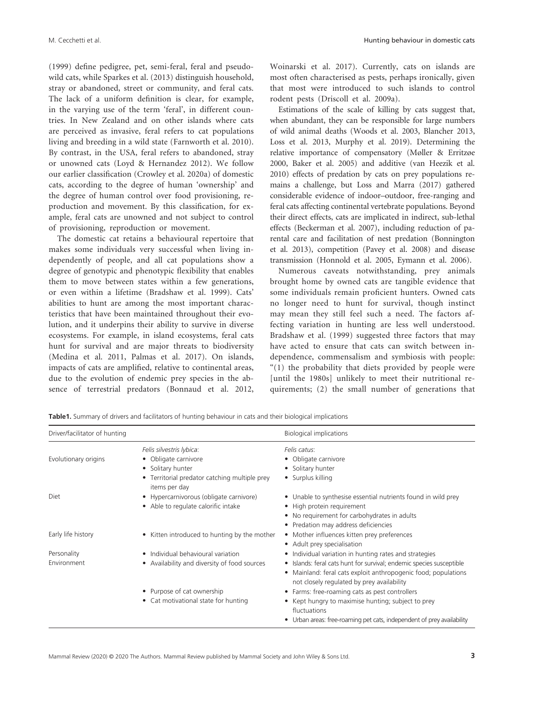(1999) define pedigree, pet, semi-feral, feral and pseudowild cats, while Sparkes et al. (2013) distinguish household, stray or abandoned, street or community, and feral cats. The lack of a uniform definition is clear, for example, in the varying use of the term 'feral', in different countries. In New Zealand and on other islands where cats are perceived as invasive, feral refers to cat populations living and breeding in a wild state (Farnworth et al. 2010). By contrast, in the USA, feral refers to abandoned, stray or unowned cats (Loyd & Hernandez 2012). We follow our earlier classification (Crowley et al. 2020a) of domestic cats, according to the degree of human 'ownership' and the degree of human control over food provisioning, reproduction and movement. By this classification, for example, feral cats are unowned and not subject to control of provisioning, reproduction or movement.

The domestic cat retains a behavioural repertoire that makes some individuals very successful when living independently of people, and all cat populations show a degree of genotypic and phenotypic flexibility that enables them to move between states within a few generations, or even within a lifetime (Bradshaw et al. 1999). Cats' abilities to hunt are among the most important characteristics that have been maintained throughout their evolution, and it underpins their ability to survive in diverse ecosystems. For example, in island ecosystems, feral cats hunt for survival and are major threats to biodiversity (Medina et al. 2011, Palmas et al. 2017). On islands, impacts of cats are amplified, relative to continental areas, due to the evolution of endemic prey species in the absence of terrestrial predators (Bonnaud et al. 2012,

M. Cecchetti et al. Hunting behaviour in domestic cats

Woinarski et al. 2017). Currently, cats on islands are most often characterised as pests, perhaps ironically, given that most were introduced to such islands to control rodent pests (Driscoll et al. 2009a).

Estimations of the scale of killing by cats suggest that, when abundant, they can be responsible for large numbers of wild animal deaths (Woods et al. 2003, Blancher 2013, Loss et al. 2013, Murphy et al. 2019). Determining the relative importance of compensatory (Møller & Erritzøe 2000, Baker et al. 2005) and additive (van Heezik et al. 2010) effects of predation by cats on prey populations remains a challenge, but Loss and Marra (2017) gathered considerable evidence of indoor–outdoor, free-ranging and feral cats affecting continental vertebrate populations. Beyond their direct effects, cats are implicated in indirect, sub-lethal effects (Beckerman et al. 2007), including reduction of parental care and facilitation of nest predation (Bonnington et al. 2013), competition (Pavey et al. 2008) and disease transmission (Honnold et al. 2005, Eymann et al. 2006).

Numerous caveats notwithstanding, prey animals brought home by owned cats are tangible evidence that some individuals remain proficient hunters. Owned cats no longer need to hunt for survival, though instinct may mean they still feel such a need. The factors affecting variation in hunting are less well understood. Bradshaw et al. (1999) suggested three factors that may have acted to ensure that cats can switch between independence, commensalism and symbiosis with people: "(1) the probability that diets provided by people were [until the 1980s] unlikely to meet their nutritional requirements; (2) the small number of generations that

**Table1.** Summary of drivers and facilitators of hunting behaviour in cats and their biological implications

| Driver/facilitator of hunting |                                                                                                                                         | <b>Biological implications</b>                                                                                                                                                                  |
|-------------------------------|-----------------------------------------------------------------------------------------------------------------------------------------|-------------------------------------------------------------------------------------------------------------------------------------------------------------------------------------------------|
| Evolutionary origins          | Felis silvestris lybica:<br>• Obligate carnivore<br>• Solitary hunter<br>• Territorial predator catching multiple prey<br>items per day | Felis catus:<br>• Obligate carnivore<br>• Solitary hunter<br>• Surplus killing                                                                                                                  |
| Diet                          | • Hypercarnivorous (obligate carnivore)<br>• Able to regulate calorific intake                                                          | • Unable to synthesise essential nutrients found in wild prey<br>• High protein requirement<br>• No requirement for carbohydrates in adults<br>• Predation may address deficiencies             |
| Early life history            | • Kitten introduced to hunting by the mother                                                                                            | • Mother influences kitten prey preferences<br>• Adult prey specialisation                                                                                                                      |
| Personality                   | • Individual behavioural variation                                                                                                      | • Individual variation in hunting rates and strategies                                                                                                                                          |
| Environment                   | • Availability and diversity of food sources                                                                                            | • Islands: feral cats hunt for survival; endemic species susceptible<br>Mainland: feral cats exploit anthropogenic food; populations<br>$\bullet$<br>not closely regulated by prey availability |
|                               | • Purpose of cat ownership                                                                                                              | • Farms: free-roaming cats as pest controllers                                                                                                                                                  |
|                               | • Cat motivational state for hunting                                                                                                    | • Kept hungry to maximise hunting; subject to prey<br>fluctuations                                                                                                                              |
|                               |                                                                                                                                         | • Urban areas: free-roaming pet cats, independent of prey availability                                                                                                                          |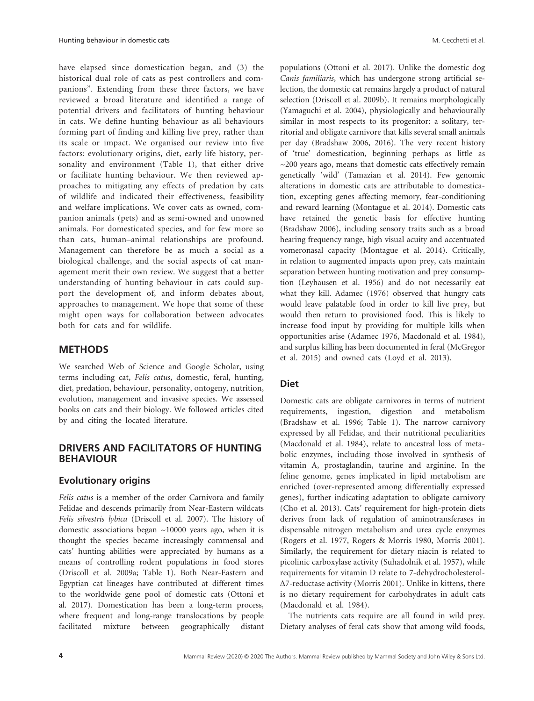have elapsed since domestication began, and (3) the historical dual role of cats as pest controllers and companions". Extending from these three factors, we have reviewed a broad literature and identified a range of potential drivers and facilitators of hunting behaviour in cats. We define hunting behaviour as all behaviours forming part of finding and killing live prey, rather than its scale or impact. We organised our review into five factors: evolutionary origins, diet, early life history, personality and environment (Table 1), that either drive or facilitate hunting behaviour. We then reviewed approaches to mitigating any effects of predation by cats of wildlife and indicated their effectiveness, feasibility and welfare implications. We cover cats as owned, companion animals (pets) and as semi-owned and unowned animals. For domesticated species, and for few more so than cats, human–animal relationships are profound. Management can therefore be as much a social as a biological challenge, and the social aspects of cat management merit their own review. We suggest that a better understanding of hunting behaviour in cats could support the development of, and inform debates about, approaches to management. We hope that some of these might open ways for collaboration between advocates both for cats and for wildlife.

#### **METHODS**

We searched Web of Science and Google Scholar, using terms including cat, *Felis catus*, domestic, feral, hunting, diet, predation, behaviour, personality, ontogeny, nutrition, evolution, management and invasive species. We assessed books on cats and their biology. We followed articles cited by and citing the located literature.

### **DRIVERS AND FACILITATORS OF HUNTING BEHAVIOUR**

#### **Evolutionary origins**

*Felis catus* is a member of the order Carnivora and family Felidae and descends primarily from Near-Eastern wildcats *Felis silvestris lybica* (Driscoll et al. 2007). The history of domestic associations began ~10000 years ago, when it is thought the species became increasingly commensal and cats' hunting abilities were appreciated by humans as a means of controlling rodent populations in food stores (Driscoll et al. 2009a; Table 1). Both Near-Eastern and Egyptian cat lineages have contributed at different times to the worldwide gene pool of domestic cats (Ottoni et al. 2017). Domestication has been a long-term process, where frequent and long-range translocations by people facilitated mixture between geographically distant

populations (Ottoni et al. 2017). Unlike the domestic dog *Canis familiaris*, which has undergone strong artificial selection, the domestic cat remains largely a product of natural selection (Driscoll et al. 2009b). It remains morphologically (Yamaguchi et al. 2004), physiologically and behaviourally similar in most respects to its progenitor: a solitary, territorial and obligate carnivore that kills several small animals per day (Bradshaw 2006, 2016). The very recent history of 'true' domestication, beginning perhaps as little as  $\sim$ 200 years ago, means that domestic cats effectively remain genetically 'wild' (Tamazian et al. 2014). Few genomic alterations in domestic cats are attributable to domestication, excepting genes affecting memory, fear-conditioning and reward learning (Montague et al. 2014). Domestic cats have retained the genetic basis for effective hunting (Bradshaw 2006), including sensory traits such as a broad hearing frequency range, high visual acuity and accentuated vomeronasal capacity (Montague et al. 2014). Critically, in relation to augmented impacts upon prey, cats maintain separation between hunting motivation and prey consumption (Leyhausen et al. 1956) and do not necessarily eat what they kill. Adamec (1976) observed that hungry cats would leave palatable food in order to kill live prey, but would then return to provisioned food. This is likely to increase food input by providing for multiple kills when opportunities arise (Adamec 1976, Macdonald et al. 1984), and surplus killing has been documented in feral (McGregor et al. 2015) and owned cats (Loyd et al. 2013).

#### **Diet**

Domestic cats are obligate carnivores in terms of nutrient requirements, ingestion, digestion and metabolism (Bradshaw et al. 1996; Table 1). The narrow carnivory expressed by all Felidae, and their nutritional peculiarities (Macdonald et al. 1984), relate to ancestral loss of metabolic enzymes, including those involved in synthesis of vitamin A, prostaglandin, taurine and arginine. In the feline genome, genes implicated in lipid metabolism are enriched (over-represented among differentially expressed genes), further indicating adaptation to obligate carnivory (Cho et al. 2013). Cats' requirement for high-protein diets derives from lack of regulation of aminotransferases in dispensable nitrogen metabolism and urea cycle enzymes (Rogers et al. 1977, Rogers & Morris 1980, Morris 2001). Similarly, the requirement for dietary niacin is related to picolinic carboxylase activity (Suhadolnik et al. 1957), while requirements for vitamin D relate to 7-dehydrocholesterol- ∆7-reductase activity (Morris 2001). Unlike in kittens, there is no dietary requirement for carbohydrates in adult cats (Macdonald et al. 1984).

The nutrients cats require are all found in wild prey. Dietary analyses of feral cats show that among wild foods,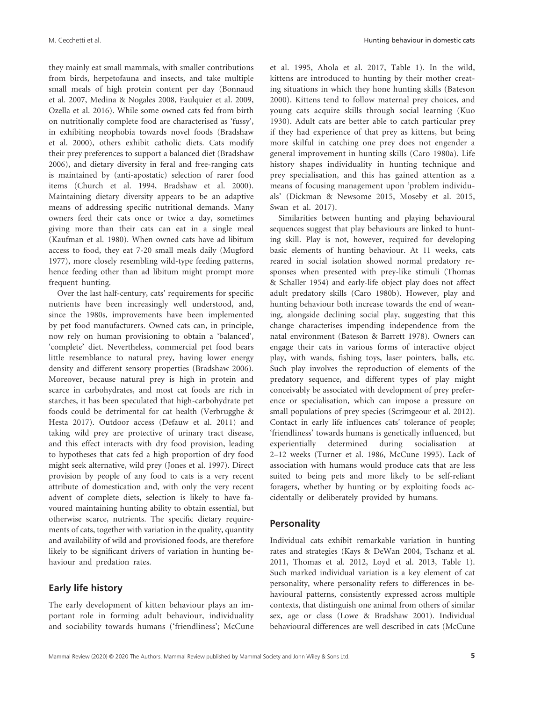they mainly eat small mammals, with smaller contributions from birds, herpetofauna and insects, and take multiple small meals of high protein content per day (Bonnaud et al. 2007, Medina & Nogales 2008, Faulquier et al. 2009, Ozella et al. 2016). While some owned cats fed from birth on nutritionally complete food are characterised as 'fussy', in exhibiting neophobia towards novel foods (Bradshaw et al. 2000), others exhibit catholic diets. Cats modify their prey preferences to support a balanced diet (Bradshaw 2006), and dietary diversity in feral and free-ranging cats is maintained by (anti-apostatic) selection of rarer food items (Church et al. 1994, Bradshaw et al. 2000). Maintaining dietary diversity appears to be an adaptive means of addressing specific nutritional demands. Many owners feed their cats once or twice a day, sometimes giving more than their cats can eat in a single meal (Kaufman et al. 1980). When owned cats have ad libitum access to food, they eat 7-20 small meals daily (Mugford 1977), more closely resembling wild-type feeding patterns, hence feeding other than ad libitum might prompt more frequent hunting.

Over the last half-century, cats' requirements for specific nutrients have been increasingly well understood, and, since the 1980s, improvements have been implemented by pet food manufacturers. Owned cats can, in principle, now rely on human provisioning to obtain a 'balanced', 'complete' diet. Nevertheless, commercial pet food bears little resemblance to natural prey, having lower energy density and different sensory properties (Bradshaw 2006). Moreover, because natural prey is high in protein and scarce in carbohydrates, and most cat foods are rich in starches, it has been speculated that high-carbohydrate pet foods could be detrimental for cat health (Verbrugghe & Hesta 2017). Outdoor access (Defauw et al. 2011) and taking wild prey are protective of urinary tract disease, and this effect interacts with dry food provision, leading to hypotheses that cats fed a high proportion of dry food might seek alternative, wild prey (Jones et al. 1997). Direct provision by people of any food to cats is a very recent attribute of domestication and, with only the very recent advent of complete diets, selection is likely to have favoured maintaining hunting ability to obtain essential, but otherwise scarce, nutrients. The specific dietary requirements of cats, together with variation in the quality, quantity and availability of wild and provisioned foods, are therefore likely to be significant drivers of variation in hunting behaviour and predation rates.

### **Early life history**

The early development of kitten behaviour plays an important role in forming adult behaviour, individuality and sociability towards humans ('friendliness'; McCune

et al. 1995, Ahola et al. 2017, Table 1). In the wild, kittens are introduced to hunting by their mother creating situations in which they hone hunting skills (Bateson 2000). Kittens tend to follow maternal prey choices, and young cats acquire skills through social learning (Kuo 1930). Adult cats are better able to catch particular prey if they had experience of that prey as kittens, but being more skilful in catching one prey does not engender a general improvement in hunting skills (Caro 1980a). Life history shapes individuality in hunting technique and prey specialisation, and this has gained attention as a means of focusing management upon 'problem individuals' (Dickman & Newsome 2015, Moseby et al. 2015, Swan et al. 2017).

Similarities between hunting and playing behavioural sequences suggest that play behaviours are linked to hunting skill. Play is not, however, required for developing basic elements of hunting behaviour. At 11 weeks, cats reared in social isolation showed normal predatory responses when presented with prey-like stimuli (Thomas & Schaller 1954) and early-life object play does not affect adult predatory skills (Caro 1980b). However, play and hunting behaviour both increase towards the end of weaning, alongside declining social play, suggesting that this change characterises impending independence from the natal environment (Bateson & Barrett 1978). Owners can engage their cats in various forms of interactive object play, with wands, fishing toys, laser pointers, balls, etc. Such play involves the reproduction of elements of the predatory sequence, and different types of play might conceivably be associated with development of prey preference or specialisation, which can impose a pressure on small populations of prey species (Scrimgeour et al. 2012). Contact in early life influences cats' tolerance of people; 'friendliness' towards humans is genetically influenced, but experientially determined during socialisation at 2–12 weeks (Turner et al. 1986, McCune 1995). Lack of association with humans would produce cats that are less suited to being pets and more likely to be self-reliant foragers, whether by hunting or by exploiting foods accidentally or deliberately provided by humans.

#### **Personality**

Individual cats exhibit remarkable variation in hunting rates and strategies (Kays & DeWan 2004, Tschanz et al. 2011, Thomas et al. 2012, Loyd et al. 2013, Table 1). Such marked individual variation is a key element of cat personality, where personality refers to differences in behavioural patterns, consistently expressed across multiple contexts, that distinguish one animal from others of similar sex, age or class (Lowe & Bradshaw 2001). Individual behavioural differences are well described in cats (McCune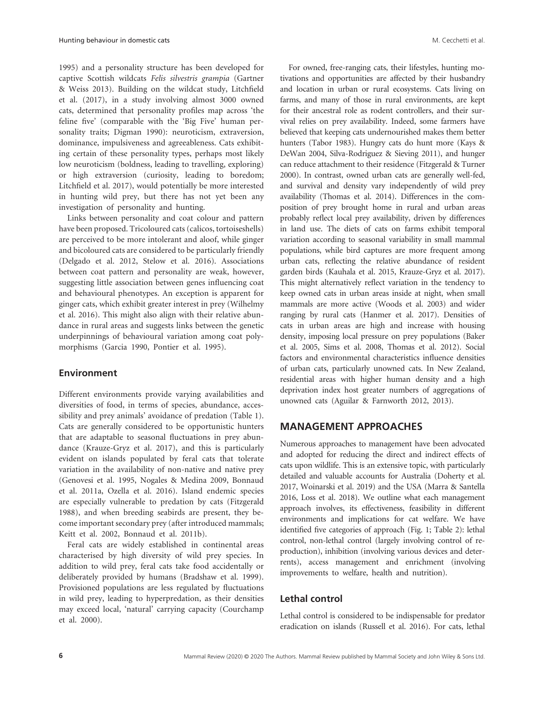1995) and a personality structure has been developed for captive Scottish wildcats *Felis silvestris grampia* (Gartner & Weiss 2013). Building on the wildcat study, Litchfield et al. (2017), in a study involving almost 3000 owned cats, determined that personality profiles map across 'the feline five' (comparable with the 'Big Five' human personality traits; Digman 1990): neuroticism, extraversion, dominance, impulsiveness and agreeableness. Cats exhibiting certain of these personality types, perhaps most likely low neuroticism (boldness, leading to travelling, exploring) or high extraversion (curiosity, leading to boredom; Litchfield et al. 2017), would potentially be more interested in hunting wild prey, but there has not yet been any investigation of personality and hunting.

Links between personality and coat colour and pattern have been proposed. Tricoloured cats (calicos, tortoiseshells) are perceived to be more intolerant and aloof, while ginger and bicoloured cats are considered to be particularly friendly (Delgado et al. 2012, Stelow et al. 2016). Associations between coat pattern and personality are weak, however, suggesting little association between genes influencing coat and behavioural phenotypes. An exception is apparent for ginger cats, which exhibit greater interest in prey (Wilhelmy et al. 2016). This might also align with their relative abundance in rural areas and suggests links between the genetic underpinnings of behavioural variation among coat polymorphisms (Garcia 1990, Pontier et al. 1995).

## **Environment**

Different environments provide varying availabilities and diversities of food, in terms of species, abundance, accessibility and prey animals' avoidance of predation (Table 1). Cats are generally considered to be opportunistic hunters that are adaptable to seasonal fluctuations in prey abundance (Krauze-Gryz et al. 2017), and this is particularly evident on islands populated by feral cats that tolerate variation in the availability of non-native and native prey (Genovesi et al. 1995, Nogales & Medina 2009, Bonnaud et al. 2011a, Ozella et al. 2016). Island endemic species are especially vulnerable to predation by cats (Fitzgerald 1988), and when breeding seabirds are present, they become important secondary prey (after introduced mammals; Keitt et al. 2002, Bonnaud et al. 2011b).

Feral cats are widely established in continental areas characterised by high diversity of wild prey species. In addition to wild prey, feral cats take food accidentally or deliberately provided by humans (Bradshaw et al. 1999). Provisioned populations are less regulated by fluctuations in wild prey, leading to hyperpredation, as their densities may exceed local, 'natural' carrying capacity (Courchamp et al. 2000).

For owned, free-ranging cats, their lifestyles, hunting motivations and opportunities are affected by their husbandry and location in urban or rural ecosystems. Cats living on farms, and many of those in rural environments, are kept for their ancestral role as rodent controllers, and their survival relies on prey availability. Indeed, some farmers have believed that keeping cats undernourished makes them better hunters (Tabor 1983). Hungry cats do hunt more (Kays & DeWan 2004, Silva-Rodriguez & Sieving 2011), and hunger can reduce attachment to their residence (Fitzgerald & Turner 2000). In contrast, owned urban cats are generally well-fed, and survival and density vary independently of wild prey availability (Thomas et al. 2014). Differences in the composition of prey brought home in rural and urban areas probably reflect local prey availability, driven by differences in land use. The diets of cats on farms exhibit temporal variation according to seasonal variability in small mammal populations, while bird captures are more frequent among urban cats, reflecting the relative abundance of resident garden birds (Kauhala et al. 2015, Krauze-Gryz et al. 2017). This might alternatively reflect variation in the tendency to keep owned cats in urban areas inside at night, when small mammals are more active (Woods et al. 2003) and wider ranging by rural cats (Hanmer et al. 2017). Densities of cats in urban areas are high and increase with housing density, imposing local pressure on prey populations (Baker et al. 2005, Sims et al. 2008, Thomas et al. 2012). Social factors and environmental characteristics influence densities of urban cats, particularly unowned cats. In New Zealand, residential areas with higher human density and a high deprivation index host greater numbers of aggregations of unowned cats (Aguilar & Farnworth 2012, 2013).

# **MANAGEMENT APPROACHES**

Numerous approaches to management have been advocated and adopted for reducing the direct and indirect effects of cats upon wildlife. This is an extensive topic, with particularly detailed and valuable accounts for Australia (Doherty et al. 2017, Woinarski et al. 2019) and the USA (Marra & Santella 2016, Loss et al. 2018). We outline what each management approach involves, its effectiveness, feasibility in different environments and implications for cat welfare. We have identified five categories of approach (Fig. 1; Table 2): lethal control, non-lethal control (largely involving control of reproduction), inhibition (involving various devices and deterrents), access management and enrichment (involving improvements to welfare, health and nutrition).

#### **Lethal control**

Lethal control is considered to be indispensable for predator eradication on islands (Russell et al. 2016). For cats, lethal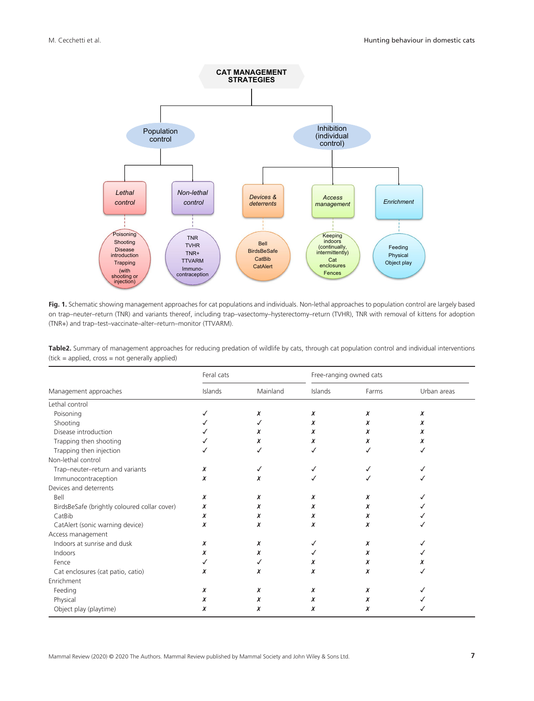

**Fig. 1.** Schematic showing management approaches for cat populations and individuals. Non-lethal approaches to population control are largely based on trap–neuter–return (TNR) and variants thereof, including trap–vasectomy–hysterectomy–return (TVHR), TNR with removal of kittens for adoption (TNR+) and trap–test–vaccinate–alter–return–monitor (TTVARM).

**Table2.** Summary of management approaches for reducing predation of wildlife by cats, through cat population control and individual interventions (tick = applied, cross = not generally applied)

|                                              | Feral cats |          | Free-ranging owned cats |       |             |
|----------------------------------------------|------------|----------|-------------------------|-------|-------------|
| Management approaches                        | Islands    | Mainland | Islands                 | Farms | Urban areas |
| Lethal control                               |            |          |                         |       |             |
| Poisoning                                    |            | x        | x                       | x     | x           |
| Shooting                                     |            |          | x                       | x     | x           |
| Disease introduction                         |            | x        | x                       | x     | x           |
| Trapping then shooting                       |            | x        | x                       | x     | x           |
| Trapping then injection                      |            |          | ✓                       |       |             |
| Non-lethal control                           |            |          |                         |       |             |
| Trap-neuter-return and variants              | x          |          |                         |       |             |
| Immunocontraception                          | x          | x        |                         |       |             |
| Devices and deterrents                       |            |          |                         |       |             |
| Bell                                         | x          | x        | x                       | x     |             |
| BirdsBeSafe (brightly coloured collar cover) | x          | x        | x                       | x     |             |
| CatBib                                       | x          | x        | x                       | x     |             |
| CatAlert (sonic warning device)              | x          | x        | x                       | x     |             |
| Access management                            |            |          |                         |       |             |
| Indoors at sunrise and dusk                  | x          | x        | ✓                       | x     |             |
| Indoors                                      | x          | x        |                         | x     |             |
| Fence                                        |            |          | x                       | x     |             |
| Cat enclosures (cat patio, catio)            | x          | x        | x                       | χ     |             |
| Enrichment                                   |            |          |                         |       |             |
| Feeding                                      | x          | x        | x                       | x     |             |
| Physical                                     | x          | x        | x                       | x     |             |
| Object play (playtime)                       | x          | x        | x                       | x     |             |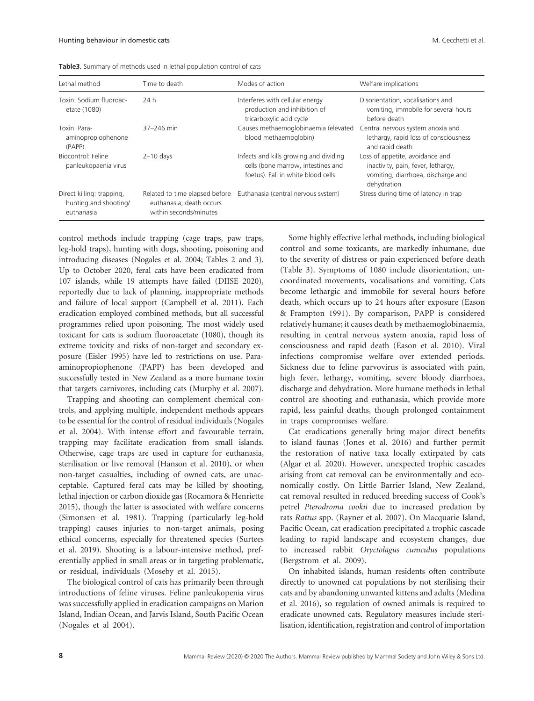| Table3. Summary of methods used in lethal population control of cats |  |  |  |
|----------------------------------------------------------------------|--|--|--|
|----------------------------------------------------------------------|--|--|--|

| Lethal method                                                    | Time to death                                                                        | Modes of action                                                                                                     | Welfare implications                                                                                                       |
|------------------------------------------------------------------|--------------------------------------------------------------------------------------|---------------------------------------------------------------------------------------------------------------------|----------------------------------------------------------------------------------------------------------------------------|
| Toxin: Sodium fluoroac-<br>etate (1080)                          | 24 h                                                                                 | Interferes with cellular energy<br>production and inhibition of<br>tricarboxylic acid cycle                         | Disorientation, vocalisations and<br>vomiting, immobile for several hours<br>before death                                  |
| Toxin: Para-<br>aminopropiophenone<br>(PAPP)                     | 37-246 min                                                                           | Causes methaemoglobinaemia (elevated<br>blood methaemoglobin)                                                       | Central nervous system anoxia and<br>lethargy, rapid loss of consciousness<br>and rapid death                              |
| Biocontrol: Feline<br>panleukopaenia virus                       | $2-10$ days                                                                          | Infects and kills growing and dividing<br>cells (bone marrow, intestines and<br>foetus). Fall in white blood cells. | Loss of appetite, avoidance and<br>inactivity, pain, fever, lethargy,<br>vomiting, diarrhoea, discharge and<br>dehydration |
| Direct killing: trapping,<br>hunting and shooting/<br>euthanasia | Related to time elapsed before<br>euthanasia; death occurs<br>within seconds/minutes | Euthanasia (central nervous system)                                                                                 | Stress during time of latency in trap                                                                                      |

control methods include trapping (cage traps, paw traps, leg-hold traps), hunting with dogs, shooting, poisoning and introducing diseases (Nogales et al. 2004; Tables 2 and 3). Up to October 2020, feral cats have been eradicated from 107 islands, while 19 attempts have failed (DIISE 2020), reportedly due to lack of planning, inappropriate methods and failure of local support (Campbell et al. 2011). Each eradication employed combined methods, but all successful programmes relied upon poisoning. The most widely used toxicant for cats is sodium fluoroacetate (1080), though its extreme toxicity and risks of non-target and secondary exposure (Eisler 1995) have led to restrictions on use. Paraaminopropiophenone (PAPP) has been developed and successfully tested in New Zealand as a more humane toxin that targets carnivores, including cats (Murphy et al. 2007).

Trapping and shooting can complement chemical controls, and applying multiple, independent methods appears to be essential for the control of residual individuals (Nogales et al. 2004). With intense effort and favourable terrain, trapping may facilitate eradication from small islands. Otherwise, cage traps are used in capture for euthanasia, sterilisation or live removal (Hanson et al. 2010), or when non-target casualties, including of owned cats, are unacceptable. Captured feral cats may be killed by shooting, lethal injection or carbon dioxide gas (Rocamora & Henriette 2015), though the latter is associated with welfare concerns (Simonsen et al. 1981). Trapping (particularly leg-hold trapping) causes injuries to non-target animals, posing ethical concerns, especially for threatened species (Surtees et al. 2019). Shooting is a labour-intensive method, preferentially applied in small areas or in targeting problematic, or residual, individuals (Moseby et al. 2015).

The biological control of cats has primarily been through introductions of feline viruses. Feline panleukopenia virus was successfully applied in eradication campaigns on Marion Island, Indian Ocean, and Jarvis Island, South Pacific Ocean (Nogales et al 2004).

Some highly effective lethal methods, including biological control and some toxicants, are markedly inhumane, due to the severity of distress or pain experienced before death (Table 3). Symptoms of 1080 include disorientation, uncoordinated movements, vocalisations and vomiting. Cats become lethargic and immobile for several hours before death, which occurs up to 24 hours after exposure (Eason & Frampton 1991). By comparison, PAPP is considered relatively humane; it causes death by methaemoglobinaemia, resulting in central nervous system anoxia, rapid loss of consciousness and rapid death (Eason et al. 2010). Viral infections compromise welfare over extended periods. Sickness due to feline parvovirus is associated with pain, high fever, lethargy, vomiting, severe bloody diarrhoea, discharge and dehydration. More humane methods in lethal control are shooting and euthanasia, which provide more rapid, less painful deaths, though prolonged containment in traps compromises welfare.

Cat eradications generally bring major direct benefits to island faunas (Jones et al. 2016) and further permit the restoration of native taxa locally extirpated by cats (Algar et al. 2020). However, unexpected trophic cascades arising from cat removal can be environmentally and economically costly. On Little Barrier Island, New Zealand, cat removal resulted in reduced breeding success of Cook's petrel *Pterodroma cookii* due to increased predation by rats *Rattus* spp. (Rayner et al. 2007). On Macquarie Island, Pacific Ocean, cat eradication precipitated a trophic cascade leading to rapid landscape and ecosystem changes, due to increased rabbit *Oryctolagus cuniculus* populations (Bergstrom et al. 2009).

On inhabited islands, human residents often contribute directly to unowned cat populations by not sterilising their cats and by abandoning unwanted kittens and adults (Medina et al. 2016), so regulation of owned animals is required to eradicate unowned cats. Regulatory measures include sterilisation, identification, registration and control of importation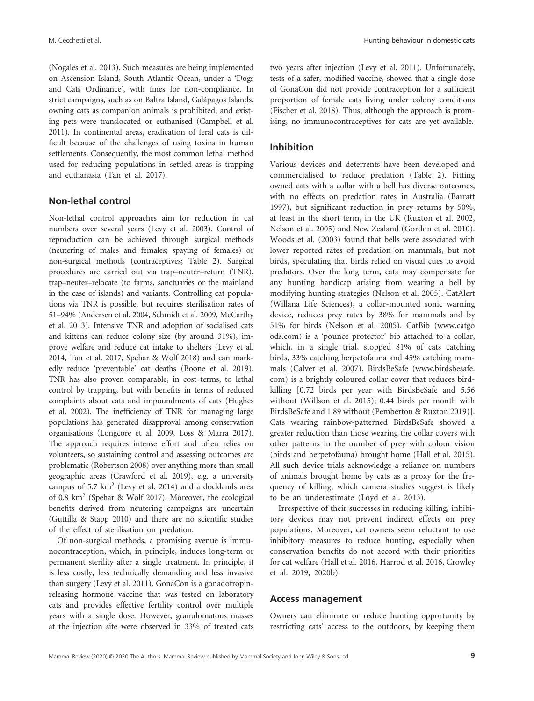(Nogales et al. 2013). Such measures are being implemented on Ascension Island, South Atlantic Ocean, under a 'Dogs and Cats Ordinance', with fines for non-compliance. In strict campaigns, such as on Baltra Island, Galápagos Islands, owning cats as companion animals is prohibited, and existing pets were translocated or euthanised (Campbell et al. 2011). In continental areas, eradication of feral cats is difficult because of the challenges of using toxins in human settlements. Consequently, the most common lethal method used for reducing populations in settled areas is trapping and euthanasia (Tan et al. 2017).

#### **Non-lethal control**

Non-lethal control approaches aim for reduction in cat numbers over several years (Levy et al. 2003). Control of reproduction can be achieved through surgical methods (neutering of males and females; spaying of females) or non-surgical methods (contraceptives; Table 2). Surgical procedures are carried out via trap–neuter–return (TNR), trap–neuter–relocate (to farms, sanctuaries or the mainland in the case of islands) and variants. Controlling cat populations via TNR is possible, but requires sterilisation rates of 51–94% (Andersen et al. 2004, Schmidt et al. 2009, McCarthy et al. 2013). Intensive TNR and adoption of socialised cats and kittens can reduce colony size (by around 31%), improve welfare and reduce cat intake to shelters (Levy et al. 2014, Tan et al. 2017, Spehar & Wolf 2018) and can markedly reduce 'preventable' cat deaths (Boone et al. 2019). TNR has also proven comparable, in cost terms, to lethal control by trapping, but with benefits in terms of reduced complaints about cats and impoundments of cats (Hughes et al. 2002). The inefficiency of TNR for managing large populations has generated disapproval among conservation organisations (Longcore et al. 2009, Loss & Marra 2017). The approach requires intense effort and often relies on volunteers, so sustaining control and assessing outcomes are problematic (Robertson 2008) over anything more than small geographic areas (Crawford et al. 2019), e.g. a university campus of 5.7 km2 (Levy et al. 2014) and a docklands area of 0.8 km2 (Spehar & Wolf 2017). Moreover, the ecological benefits derived from neutering campaigns are uncertain (Guttilla & Stapp 2010) and there are no scientific studies of the effect of sterilisation on predation.

Of non-surgical methods, a promising avenue is immunocontraception, which, in principle, induces long-term or permanent sterility after a single treatment. In principle, it is less costly, less technically demanding and less invasive than surgery (Levy et al. 2011). GonaCon is a gonadotropinreleasing hormone vaccine that was tested on laboratory cats and provides effective fertility control over multiple years with a single dose. However, granulomatous masses at the injection site were observed in 33% of treated cats two years after injection (Levy et al. 2011). Unfortunately, tests of a safer, modified vaccine, showed that a single dose of GonaCon did not provide contraception for a sufficient proportion of female cats living under colony conditions (Fischer et al. 2018). Thus, although the approach is promising, no immunocontraceptives for cats are yet available.

#### **Inhibition**

Various devices and deterrents have been developed and commercialised to reduce predation (Table 2). Fitting owned cats with a collar with a bell has diverse outcomes, with no effects on predation rates in Australia (Barratt 1997), but significant reduction in prey returns by 50%, at least in the short term, in the UK (Ruxton et al. 2002, Nelson et al. 2005) and New Zealand (Gordon et al. 2010). Woods et al. (2003) found that bells were associated with lower reported rates of predation on mammals, but not birds, speculating that birds relied on visual cues to avoid predators. Over the long term, cats may compensate for any hunting handicap arising from wearing a bell by modifying hunting strategies (Nelson et al. 2005). CatAlert (Willana Life Sciences), a collar-mounted sonic warning device, reduces prey rates by 38% for mammals and by 51% for birds (Nelson et al. 2005). CatBib ([www.catgo](http://www.catgoods.com) [ods.com](http://www.catgoods.com)) is a 'pounce protector' bib attached to a collar, which, in a single trial, stopped 81% of cats catching birds, 33% catching herpetofauna and 45% catching mammals (Calver et al. 2007). BirdsBeSafe [\(www.birdsbesafe.](http://www.birdsbesafe.com) [com\)](http://www.birdsbesafe.com) is a brightly coloured collar cover that reduces birdkilling [0.72 birds per year with BirdsBeSafe and 5.56 without (Willson et al. 2015); 0.44 birds per month with BirdsBeSafe and 1.89 without (Pemberton & Ruxton 2019)]. Cats wearing rainbow-patterned BirdsBeSafe showed a greater reduction than those wearing the collar covers with other patterns in the number of prey with colour vision (birds and herpetofauna) brought home (Hall et al. 2015). All such device trials acknowledge a reliance on numbers of animals brought home by cats as a proxy for the frequency of killing, which camera studies suggest is likely to be an underestimate (Loyd et al. 2013).

Irrespective of their successes in reducing killing, inhibitory devices may not prevent indirect effects on prey populations. Moreover, cat owners seem reluctant to use inhibitory measures to reduce hunting, especially when conservation benefits do not accord with their priorities for cat welfare (Hall et al. 2016, Harrod et al. 2016, Crowley et al. 2019, 2020b).

#### **Access management**

Owners can eliminate or reduce hunting opportunity by restricting cats' access to the outdoors, by keeping them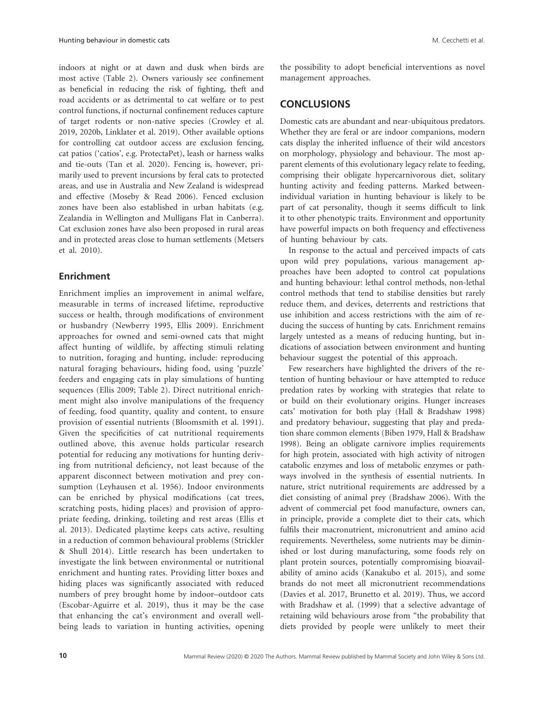indoors at night or at dawn and dusk when birds are most active (Table 2). Owners variously see confinement as beneficial in reducing the risk of fighting, theft and road accidents or as detrimental to cat welfare or to pest control functions, if nocturnal confinement reduces capture of target rodents or non-native species (Crowley et al. 2019, 2020b, Linklater et al. 2019). Other available options for controlling cat outdoor access are exclusion fencing, cat patios ('catios', e.g. ProtectaPet), leash or harness walks and tie-outs (Tan et al. 2020). Fencing is, however, primarily used to prevent incursions by feral cats to protected areas, and use in Australia and New Zealand is widespread and effective (Moseby & Read 2006). Fenced exclusion zones have been also established in urban habitats (e.g. Zealandia in Wellington and Mulligans Flat in Canberra). Cat exclusion zones have also been proposed in rural areas and in protected areas close to human settlements (Metsers et al. 2010).

## **Enrichment**

Enrichment implies an improvement in animal welfare, measurable in terms of increased lifetime, reproductive success or health, through modifications of environment or husbandry (Newberry 1995, Ellis 2009). Enrichment approaches for owned and semi-owned cats that might affect hunting of wildlife, by affecting stimuli relating to nutrition, foraging and hunting, include: reproducing natural foraging behaviours, hiding food, using 'puzzle' feeders and engaging cats in play simulations of hunting sequences (Ellis 2009; Table 2). Direct nutritional enrichment might also involve manipulations of the frequency of feeding, food quantity, quality and content, to ensure provision of essential nutrients (Bloomsmith et al. 1991). Given the specificities of cat nutritional requirements outlined above, this avenue holds particular research potential for reducing any motivations for hunting deriving from nutritional deficiency, not least because of the apparent disconnect between motivation and prey consumption (Leyhausen et al. 1956). Indoor environments can be enriched by physical modifications (cat trees, scratching posts, hiding places) and provision of appropriate feeding, drinking, toileting and rest areas (Ellis et al. 2013). Dedicated playtime keeps cats active, resulting in a reduction of common behavioural problems (Strickler & Shull 2014). Little research has been undertaken to investigate the link between environmental or nutritional enrichment and hunting rates. Providing litter boxes and hiding places was significantly associated with reduced numbers of prey brought home by indoor–outdoor cats (Escobar-Aguirre et al. 2019), thus it may be the case that enhancing the cat's environment and overall wellbeing leads to variation in hunting activities, opening

the possibility to adopt beneficial interventions as novel management approaches.

# **CONCLUSIONS**

Domestic cats are abundant and near-ubiquitous predators. Whether they are feral or are indoor companions, modern cats display the inherited influence of their wild ancestors on morphology, physiology and behaviour. The most apparent elements of this evolutionary legacy relate to feeding, comprising their obligate hypercarnivorous diet, solitary hunting activity and feeding patterns. Marked betweenindividual variation in hunting behaviour is likely to be part of cat personality, though it seems difficult to link it to other phenotypic traits. Environment and opportunity have powerful impacts on both frequency and effectiveness of hunting behaviour by cats.

In response to the actual and perceived impacts of cats upon wild prey populations, various management approaches have been adopted to control cat populations and hunting behaviour: lethal control methods, non-lethal control methods that tend to stabilise densities but rarely reduce them, and devices, deterrents and restrictions that use inhibition and access restrictions with the aim of reducing the success of hunting by cats. Enrichment remains largely untested as a means of reducing hunting, but indications of association between environment and hunting behaviour suggest the potential of this approach.

Few researchers have highlighted the drivers of the retention of hunting behaviour or have attempted to reduce predation rates by working with strategies that relate to or build on their evolutionary origins. Hunger increases cats' motivation for both play (Hall & Bradshaw 1998) and predatory behaviour, suggesting that play and predation share common elements (Biben 1979, Hall & Bradshaw 1998). Being an obligate carnivore implies requirements for high protein, associated with high activity of nitrogen catabolic enzymes and loss of metabolic enzymes or pathways involved in the synthesis of essential nutrients. In nature, strict nutritional requirements are addressed by a diet consisting of animal prey (Bradshaw 2006). With the advent of commercial pet food manufacture, owners can, in principle, provide a complete diet to their cats, which fulfils their macronutrient, micronutrient and amino acid requirements. Nevertheless, some nutrients may be diminished or lost during manufacturing, some foods rely on plant protein sources, potentially compromising bioavailability of amino acids (Kanakubo et al. 2015), and some brands do not meet all micronutrient recommendations (Davies et al. 2017, Brunetto et al. 2019). Thus, we accord with Bradshaw et al. (1999) that a selective advantage of retaining wild behaviours arose from "the probability that diets provided by people were unlikely to meet their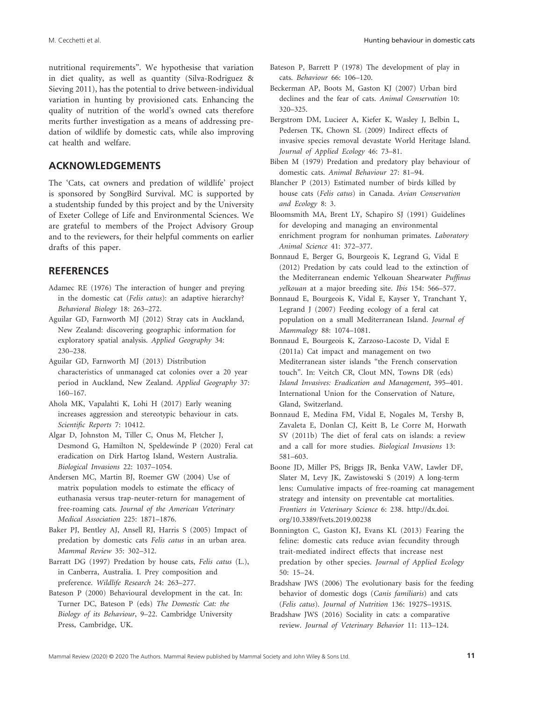nutritional requirements". We hypothesise that variation in diet quality, as well as quantity (Silva-Rodriguez & Sieving 2011), has the potential to drive between-individual variation in hunting by provisioned cats. Enhancing the quality of nutrition of the world's owned cats therefore merits further investigation as a means of addressing predation of wildlife by domestic cats, while also improving cat health and welfare.

# **ACKNOWLEDGEMENTS**

The 'Cats, cat owners and predation of wildlife' project is sponsored by SongBird Survival. MC is supported by a studentship funded by this project and by the University of Exeter College of Life and Environmental Sciences. We are grateful to members of the Project Advisory Group and to the reviewers, for their helpful comments on earlier drafts of this paper.

### **REFERENCES**

- Adamec RE (1976) The interaction of hunger and preying in the domestic cat (*Felis catus*): an adaptive hierarchy? *Behavioral Biology* 18: 263–272.
- Aguilar GD, Farnworth MJ (2012) Stray cats in Auckland, New Zealand: discovering geographic information for exploratory spatial analysis. *Applied Geography* 34: 230–238.
- Aguilar GD, Farnworth MJ (2013) Distribution characteristics of unmanaged cat colonies over a 20 year period in Auckland, New Zealand. *Applied Geography* 37: 160–167.
- Ahola MK, Vapalahti K, Lohi H (2017) Early weaning increases aggression and stereotypic behaviour in cats. *Scientific Reports* 7: 10412.
- Algar D, Johnston M, Tiller C, Onus M, Fletcher J, Desmond G, Hamilton N, Speldewinde P (2020) Feral cat eradication on Dirk Hartog Island, Western Australia. *Biological Invasions* 22: 1037–1054.
- Andersen MC, Martin BJ, Roemer GW (2004) Use of matrix population models to estimate the efficacy of euthanasia versus trap-neuter-return for management of free-roaming cats. *Journal of the American Veterinary Medical Association* 225: 1871–1876.
- Baker PJ, Bentley AJ, Ansell RJ, Harris S (2005) Impact of predation by domestic cats *Felis catus* in an urban area. *Mammal Review* 35: 302–312.
- Barratt DG (1997) Predation by house cats, *Felis catus* (L.), in Canberra, Australia. I. Prey composition and preference. *Wildlife Research* 24: 263–277.
- Bateson P (2000) Behavioural development in the cat. In: Turner DC, Bateson P (eds) *The Domestic Cat: the Biology of its Behaviour*, 9–22. Cambridge University Press, Cambridge, UK.
- Bateson P, Barrett P (1978) The development of play in cats. *Behaviour* 66: 106–120.
- Beckerman AP, Boots M, Gaston KJ (2007) Urban bird declines and the fear of cats. *Animal Conservation* 10: 320–325.
- Bergstrom DM, Lucieer A, Kiefer K, Wasley J, Belbin L, Pedersen TK, Chown SL (2009) Indirect effects of invasive species removal devastate World Heritage Island. *Journal of Applied Ecology* 46: 73–81.
- Biben M (1979) Predation and predatory play behaviour of domestic cats. *Animal Behaviour* 27: 81–94.
- Blancher P (2013) Estimated number of birds killed by house cats (*Felis catus*) in Canada. *Avian Conservation and Ecology* 8: 3.
- Bloomsmith MA, Brent LY, Schapiro SJ (1991) Guidelines for developing and managing an environmental enrichment program for nonhuman primates. *Laboratory Animal Science* 41: 372–377.
- Bonnaud E, Berger G, Bourgeois K, Legrand G, Vidal E (2012) Predation by cats could lead to the extinction of the Mediterranean endemic Yelkouan Shearwater *Puffinus yelkouan* at a major breeding site. *Ibis* 154: 566–577.
- Bonnaud E, Bourgeois K, Vidal E, Kayser Y, Tranchant Y, Legrand J (2007) Feeding ecology of a feral cat population on a small Mediterranean Island. *Journal of Mammalogy* 88: 1074–1081.
- Bonnaud E, Bourgeois K, Zarzoso-Lacoste D, Vidal E (2011a) Cat impact and management on two Mediterranean sister islands "the French conservation touch". In: Veitch CR, Clout MN, Towns DR (eds) *Island Invasives: Eradication and Management*, 395–401. International Union for the Conservation of Nature, Gland, Switzerland.
- Bonnaud E, Medina FM, Vidal E, Nogales M, Tershy B, Zavaleta E, Donlan CJ, Keitt B, Le Corre M, Horwath SV (2011b) The diet of feral cats on islands: a review and a call for more studies. *Biological Invasions* 13: 581–603.
- Boone JD, Miller PS, Briggs JR, Benka VAW, Lawler DF, Slater M, Levy JK, Zawistowski S (2019) A long-term lens: Cumulative impacts of free-roaming cat management strategy and intensity on preventable cat mortalities. *Frontiers in Veterinary Science* 6: 238. [http://dx.doi.](http://dx.doi.org/10.3389/fvets.2019.00238) [org/10.3389/fvets.2019.00238](http://dx.doi.org/10.3389/fvets.2019.00238)
- Bonnington C, Gaston KJ, Evans KL (2013) Fearing the feline: domestic cats reduce avian fecundity through trait-mediated indirect effects that increase nest predation by other species. *Journal of Applied Ecology* 50: 15–24.
- Bradshaw JWS (2006) The evolutionary basis for the feeding behavior of domestic dogs (*Canis familiaris*) and cats (*Felis catus*). *Journal of Nutrition* 136: 1927S–1931S.
- Bradshaw JWS (2016) Sociality in cats: a comparative review. *Journal of Veterinary Behavior* 11: 113–124.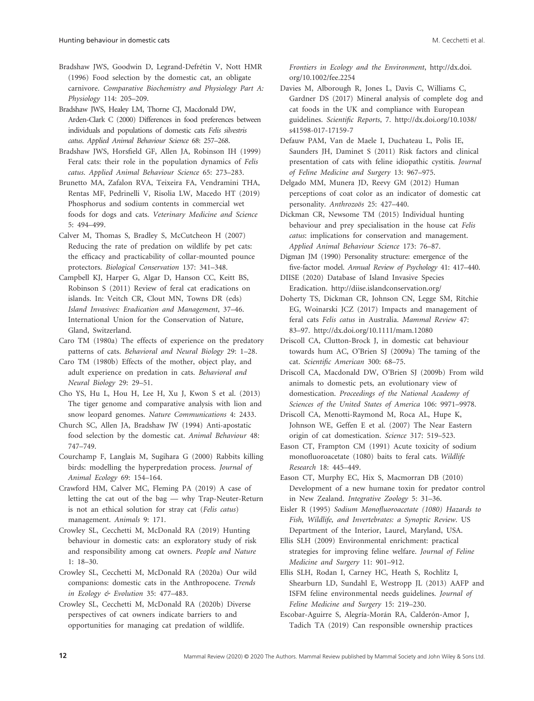Bradshaw JWS, Goodwin D, Legrand-Defrétin V, Nott HMR (1996) Food selection by the domestic cat, an obligate carnivore. *Comparative Biochemistry and Physiology Part A: Physiology* 114: 205–209.

Bradshaw JWS, Healey LM, Thorne CJ, Macdonald DW, Arden-Clark C (2000) Differences in food preferences between individuals and populations of domestic cats *Felis silvestris catus*. *Applied Animal Behaviour Science* 68: 257–268.

Bradshaw JWS, Horsfield GF, Allen JA, Robinson IH (1999) Feral cats: their role in the population dynamics of *Felis catus*. *Applied Animal Behaviour Science* 65: 273–283.

Brunetto MA, Zafalon RVA, Teixeira FA, Vendramini THA, Rentas MF, Pedrinelli V, Risolia LW, Macedo HT (2019) Phosphorus and sodium contents in commercial wet foods for dogs and cats. *Veterinary Medicine and Science* 5: 494–499.

Calver M, Thomas S, Bradley S, McCutcheon H (2007) Reducing the rate of predation on wildlife by pet cats: the efficacy and practicability of collar-mounted pounce protectors. *Biological Conservation* 137: 341–348.

Campbell KJ, Harper G, Algar D, Hanson CC, Keitt BS, Robinson S (2011) Review of feral cat eradications on islands. In: Veitch CR, Clout MN, Towns DR (eds) *Island Invasives: Eradication and Management*, 37–46. International Union for the Conservation of Nature, Gland, Switzerland.

Caro TM (1980a) The effects of experience on the predatory patterns of cats. *Behavioral and Neural Biology* 29: 1–28.

Caro TM (1980b) Effects of the mother, object play, and adult experience on predation in cats. *Behavioral and Neural Biology* 29: 29–51.

Cho YS, Hu L, Hou H, Lee H, Xu J, Kwon S et al. (2013) The tiger genome and comparative analysis with lion and snow leopard genomes. *Nature Communications* 4: 2433.

Church SC, Allen JA, Bradshaw JW (1994) Anti-apostatic food selection by the domestic cat. *Animal Behaviour* 48: 747–749.

Courchamp F, Langlais M, Sugihara G (2000) Rabbits killing birds: modelling the hyperpredation process. *Journal of Animal Ecology* 69: 154–164.

Crawford HM, Calver MC, Fleming PA (2019) A case of letting the cat out of the bag — why Trap-Neuter-Return is not an ethical solution for stray cat (*Felis catus*) management. *Animals* 9: 171.

Crowley SL, Cecchetti M, McDonald RA (2019) Hunting behaviour in domestic cats: an exploratory study of risk and responsibility among cat owners. *People and Nature* 1: 18–30.

Crowley SL, Cecchetti M, McDonald RA (2020a) Our wild companions: domestic cats in the Anthropocene. *Trends in Ecology & Evolution* 35: 477–483.

Crowley SL, Cecchetti M, McDonald RA (2020b) Diverse perspectives of cat owners indicate barriers to and opportunities for managing cat predation of wildlife.

*Frontiers in Ecology and the Environment*, [http://dx.doi.](http://dx.doi.org/10.1002/fee.2254) [org/10.1002/fee.2254](http://dx.doi.org/10.1002/fee.2254)

Davies M, Alborough R, Jones L, Davis C, Williams C, Gardner DS (2017) Mineral analysis of complete dog and cat foods in the UK and compliance with European guidelines. *Scientific Reports*, 7. [http://dx.doi.org/10.1038/](http://dx.doi.org/10.1038/s41598-017-17159-7) [s41598-017-17159-7](http://dx.doi.org/10.1038/s41598-017-17159-7)

Defauw PAM, Van de Maele I, Duchateau L, Polis IE, Saunders JH, Daminet S (2011) Risk factors and clinical presentation of cats with feline idiopathic cystitis. *Journal of Feline Medicine and Surgery* 13: 967–975.

Delgado MM, Munera JD, Reevy GM (2012) Human perceptions of coat color as an indicator of domestic cat personality. *Anthrozoös* 25: 427–440.

Dickman CR, Newsome TM (2015) Individual hunting behaviour and prey specialisation in the house cat *Felis catus*: implications for conservation and management. *Applied Animal Behaviour Science* 173: 76–87.

Digman JM (1990) Personality structure: emergence of the five-factor model. *Annual Review of Psychology* 41: 417–440.

DIISE (2020) Database of Island Invasive Species Eradication. <http://diise.islandconservation.org/>

Doherty TS, Dickman CR, Johnson CN, Legge SM, Ritchie EG, Woinarski JCZ (2017) Impacts and management of feral cats *Felis catus* in Australia. *Mammal Review* 47: 83–97. <http://dx.doi.org/10.1111/mam.12080>

Driscoll CA, Clutton-Brock J, in domestic cat behaviour towards hum AC, O'Brien SJ (2009a) The taming of the cat. *Scientific American* 300: 68–75.

Driscoll CA, Macdonald DW, O'Brien SJ (2009b) From wild animals to domestic pets, an evolutionary view of domestication. *Proceedings of the National Academy of Sciences of the United States of America* 106: 9971–9978.

Driscoll CA, Menotti-Raymond M, Roca AL, Hupe K, Johnson WE, Geffen E et al. (2007) The Near Eastern origin of cat domestication. *Science* 317: 519–523.

Eason CT, Frampton CM (1991) Acute toxicity of sodium monofluoroacetate (1080) baits to feral cats. *Wildlife Research* 18: 445–449.

Eason CT, Murphy EC, Hix S, Macmorran DB (2010) Development of a new humane toxin for predator control in New Zealand. *Integrative Zoology* 5: 31–36.

Eisler R (1995) *Sodium Monofluoroacetate (1080) Hazards to Fish, Wildlife, and Invertebrates: a Synoptic Review*. US Department of the Interior, Laurel, Maryland, USA.

Ellis SLH (2009) Environmental enrichment: practical strategies for improving feline welfare. *Journal of Feline Medicine and Surgery* 11: 901–912.

Ellis SLH, Rodan I, Carney HC, Heath S, Rochlitz I, Shearburn LD, Sundahl E, Westropp JL (2013) AAFP and ISFM feline environmental needs guidelines. *Journal of Feline Medicine and Surgery* 15: 219–230.

Escobar-Aguirre S, Alegría-Morán RA, Calderón-Amor J, Tadich TA (2019) Can responsible ownership practices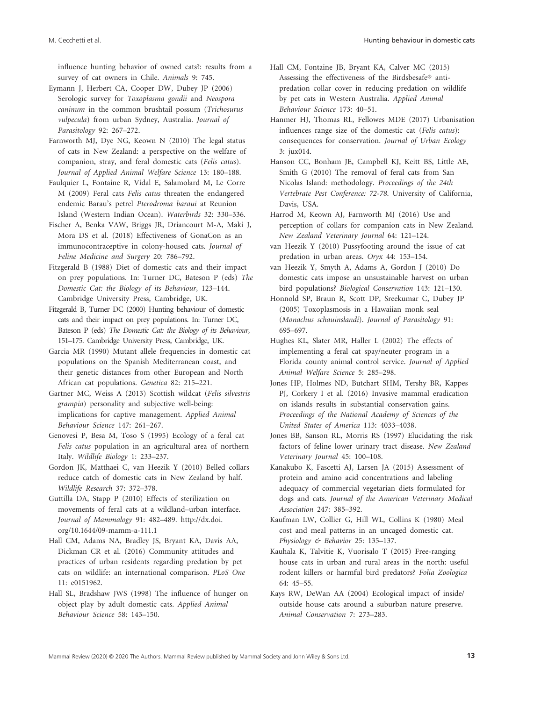influence hunting behavior of owned cats?: results from a survey of cat owners in Chile. *Animals* 9: 745.

- Eymann J, Herbert CA, Cooper DW, Dubey JP (2006) Serologic survey for *Toxoplasma gondii* and *Neospora caninum* in the common brushtail possum (*Trichosurus vulpecula*) from urban Sydney, Australia. *Journal of Parasitology* 92: 267–272.
- Farnworth MJ, Dye NG, Keown N (2010) The legal status of cats in New Zealand: a perspective on the welfare of companion, stray, and feral domestic cats (*Felis catus*). *Journal of Applied Animal Welfare Science* 13: 180–188.
- Faulquier L, Fontaine R, Vidal E, Salamolard M, Le Corre M (2009) Feral cats *Felis catus* threaten the endangered endemic Barau's petrel *Pterodroma baraui* at Reunion Island (Western Indian Ocean). *Waterbirds* 32: 330–336.
- Fischer A, Benka VAW, Briggs JR, Driancourt M-A, Maki J, Mora DS et al. (2018) Effectiveness of GonaCon as an immunocontraceptive in colony-housed cats. *Journal of Feline Medicine and Surgery* 20: 786–792.
- Fitzgerald B (1988) Diet of domestic cats and their impact on prey populations. In: Turner DC, Bateson P (eds) *The Domestic Cat: the Biology of its Behaviour*, 123–144. Cambridge University Press, Cambridge, UK.
- Fitzgerald B, Turner DC (2000) Hunting behaviour of domestic cats and their impact on prey populations. In: Turner DC, Bateson P (eds) *The Domestic Cat: the Biology of its Behaviour*, 151–175. Cambridge University Press, Cambridge, UK.
- Garcia MR (1990) Mutant allele frequencies in domestic cat populations on the Spanish Mediterranean coast, and their genetic distances from other European and North African cat populations. *Genetica* 82: 215–221.
- Gartner MC, Weiss A (2013) Scottish wildcat (*Felis silvestris grampia*) personality and subjective well-being: implications for captive management. *Applied Animal Behaviour Science* 147: 261–267.
- Genovesi P, Besa M, Toso S (1995) Ecology of a feral cat *Felis catus* population in an agricultural area of northern Italy. *Wildlife Biology* 1: 233–237.
- Gordon JK, Matthaei C, van Heezik Y (2010) Belled collars reduce catch of domestic cats in New Zealand by half. *Wildlife Research* 37: 372–378.
- Guttilla DA, Stapp P (2010) Effects of sterilization on movements of feral cats at a wildland–urban interface. *Journal of Mammalogy* 91: 482–489. [http://dx.doi.](http://dx.doi.org/10.1644/09-mamm-a-111.1) [org/10.1644/09-mamm-a-111.1](http://dx.doi.org/10.1644/09-mamm-a-111.1)
- Hall CM, Adams NA, Bradley JS, Bryant KA, Davis AA, Dickman CR et al. (2016) Community attitudes and practices of urban residents regarding predation by pet cats on wildlife: an international comparison. *PLoS One* 11: e0151962.
- Hall SL, Bradshaw JWS (1998) The influence of hunger on object play by adult domestic cats. *Applied Animal Behaviour Science* 58: 143–150.
- Hall CM, Fontaine JB, Bryant KA, Calver MC (2015) Assessing the effectiveness of the Birdsbesafe® antipredation collar cover in reducing predation on wildlife by pet cats in Western Australia. *Applied Animal Behaviour Science* 173: 40–51.
- Hanmer HJ, Thomas RL, Fellowes MDE (2017) Urbanisation influences range size of the domestic cat (*Felis catus*): consequences for conservation. *Journal of Urban Ecology* 3: jux014.
- Hanson CC, Bonham JE, Campbell KJ, Keitt BS, Little AE, Smith G (2010) The removal of feral cats from San Nicolas Island: methodology. *Proceedings of the 24th Vertebrate Pest Conference: 72-78*. University of California, Davis, USA.
- Harrod M, Keown AJ, Farnworth MJ (2016) Use and perception of collars for companion cats in New Zealand. *New Zealand Veterinary Journal* 64: 121–124.
- van Heezik Y (2010) Pussyfooting around the issue of cat predation in urban areas. *Oryx* 44: 153–154.
- van Heezik Y, Smyth A, Adams A, Gordon J (2010) Do domestic cats impose an unsustainable harvest on urban bird populations? *Biological Conservation* 143: 121–130.
- Honnold SP, Braun R, Scott DP, Sreekumar C, Dubey JP (2005) Toxoplasmosis in a Hawaiian monk seal (*Monachus schauinslandi*). *Journal of Parasitology* 91: 695–697.
- Hughes KL, Slater MR, Haller L (2002) The effects of implementing a feral cat spay/neuter program in a Florida county animal control service. *Journal of Applied Animal Welfare Science* 5: 285–298.
- Jones HP, Holmes ND, Butchart SHM, Tershy BR, Kappes PJ, Corkery I et al. (2016) Invasive mammal eradication on islands results in substantial conservation gains. *Proceedings of the National Academy of Sciences of the United States of America* 113: 4033–4038.
- Jones BB, Sanson RL, Morris RS (1997) Elucidating the risk factors of feline lower urinary tract disease. *New Zealand Veterinary Journal* 45: 100–108.
- Kanakubo K, Fascetti AJ, Larsen JA (2015) Assessment of protein and amino acid concentrations and labeling adequacy of commercial vegetarian diets formulated for dogs and cats. *Journal of the American Veterinary Medical Association* 247: 385–392.
- Kaufman LW, Collier G, Hill WL, Collins K (1980) Meal cost and meal patterns in an uncaged domestic cat. *Physiology & Behavior* 25: 135–137.
- Kauhala K, Talvitie K, Vuorisalo T (2015) Free-ranging house cats in urban and rural areas in the north: useful rodent killers or harmful bird predators? *Folia Zoologica* 64: 45–55.
- Kays RW, DeWan AA (2004) Ecological impact of inside/ outside house cats around a suburban nature preserve. *Animal Conservation* 7: 273–283.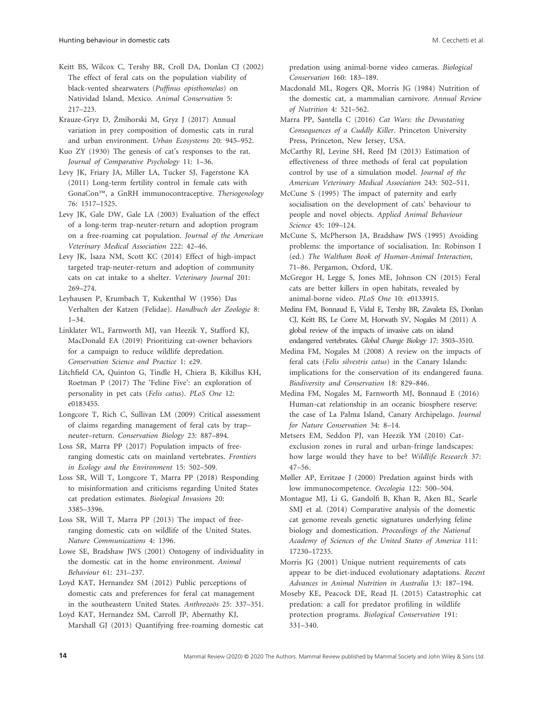- Keitt BS, Wilcox C, Tershy BR, Croll DA, Donlan CJ (2002) The effect of feral cats on the population viability of black-vented shearwaters (*Puffinus opisthomelas*) on Natividad Island, Mexico. *Animal Conservation* 5: 217–223.
- Krauze-Gryz D, Żmihorski M, Gryz J (2017) Annual variation in prey composition of domestic cats in rural and urban environment. *Urban Ecosystems* 20: 945–952.
- Kuo ZY (1930) The genesis of cat's responses to the rat. *Journal of Comparative Psychology* 11: 1–36.
- Levy JK, Friary JA, Miller LA, Tucker SJ, Fagerstone KA (2011) Long-term fertility control in female cats with GonaCon™, a GnRH immunocontraceptive. *Theriogenology* 76: 1517–1525.
- Levy JK, Gale DW, Gale LA (2003) Evaluation of the effect of a long-term trap-neuter-return and adoption program on a free-roaming cat population. *Journal of the American Veterinary Medical Association* 222: 42–46.
- Levy JK, Isaza NM, Scott KC (2014) Effect of high-impact targeted trap-neuter-return and adoption of community cats on cat intake to a shelter. *Veterinary Journal* 201: 269–274.
- Leyhausen P, Krumbach T, Kukenthal W (1956) Das Verhalten der Katzen (Felidae). *Handbuch der Zoologie* 8: 1–34.
- Linklater WL, Farnworth MJ, van Heezik Y, Stafford KJ, MacDonald EA (2019) Prioritizing cat-owner behaviors for a campaign to reduce wildlife depredation. *Conservation Science and Practice* 1: e29.
- Litchfield CA, Quinton G, Tindle H, Chiera B, Kikillus KH, Roetman P (2017) The 'Feline Five': an exploration of personality in pet cats (*Felis catus*). *PLoS One* 12: e0183455.
- Longcore T, Rich C, Sullivan LM (2009) Critical assessment of claims regarding management of feral cats by trap– neuter–return. *Conservation Biology* 23: 887–894.
- Loss SR, Marra PP (2017) Population impacts of freeranging domestic cats on mainland vertebrates. *Frontiers in Ecology and the Environment* 15: 502–509.
- Loss SR, Will T, Longcore T, Marra PP (2018) Responding to misinformation and criticisms regarding United States cat predation estimates. *Biological Invasions* 20: 3385–3396.
- Loss SR, Will T, Marra PP (2013) The impact of freeranging domestic cats on wildlife of the United States. *Nature Communications* 4: 1396.
- Lowe SE, Bradshaw JWS (2001) Ontogeny of individuality in the domestic cat in the home environment. *Animal Behaviour* 61: 231–237.
- Loyd KAT, Hernandez SM (2012) Public perceptions of domestic cats and preferences for feral cat management in the southeastern United States. *Anthrozoös* 25: 337–351.

Loyd KAT, Hernandez SM, Carroll JP, Abernathy KJ, Marshall GJ (2013) Quantifying free-roaming domestic cat predation using animal-borne video cameras. *Biological Conservation* 160: 183–189.

- Macdonald ML, Rogers QR, Morris JG (1984) Nutrition of the domestic cat, a mammalian carnivore. *Annual Review of Nutrition* 4: 521–562.
- Marra PP, Santella C (2016) *Cat Wars: the Devastating Consequences of a Cuddly Killer*. Princeton University Press, Princeton, New Jersey, USA.
- McCarthy RJ, Levine SH, Reed JM (2013) Estimation of effectiveness of three methods of feral cat population control by use of a simulation model. *Journal of the American Veterinary Medical Association* 243: 502–511.
- McCune S (1995) The impact of paternity and early socialisation on the development of cats' behaviour to people and novel objects. *Applied Animal Behaviour Science* 45: 109–124.
- McCune S, McPherson JA, Bradshaw JWS (1995) Avoiding problems: the importance of socialisation. In: Robinson I (ed.) *The Waltham Book of Human-Animal Interaction*, 71–86. Pergamon, Oxford, UK.
- McGregor H, Legge S, Jones ME, Johnson CN (2015) Feral cats are better killers in open habitats, revealed by animal-borne video. *PLoS One* 10: e0133915.
- Medina FM, Bonnaud E, Vidal E, Tershy BR, Zavaleta ES, Donlan CJ, Keitt BS, Le Corre M, Horwath SV, Nogales M (2011) A global review of the impacts of invasive cats on island endangered vertebrates. *Global Change Biology* 17: 3503–3510.
- Medina FM, Nogales M (2008) A review on the impacts of feral cats (*Felis silvestris catus*) in the Canary Islands: implications for the conservation of its endangered fauna. *Biodiversity and Conservation* 18: 829–846.
- Medina FM, Nogales M, Farnworth MJ, Bonnaud E (2016) Human-cat relationship in an oceanic biosphere reserve: the case of La Palma Island, Canary Archipelago. *Journal for Nature Conservation* 34: 8–14.
- Metsers EM, Seddon PJ, van Heezik YM (2010) Catexclusion zones in rural and urban-fringe landscapes: how large would they have to be? *Wildlife Research* 37: 47–56.
- Møller AP, Erritzøe J (2000) Predation against birds with low immunocompetence. *Oecologia* 122: 500–504.
- Montague MJ, Li G, Gandolfi B, Khan R, Aken BL, Searle SMJ et al. (2014) Comparative analysis of the domestic cat genome reveals genetic signatures underlying feline biology and domestication. *Proceedings of the National Academy of Sciences of the United States of America* 111: 17230–17235.
- Morris JG (2001) Unique nutrient requirements of cats appear to be diet-induced evolutionary adaptations. *Recent Advances in Animal Nutrition in Australia* 13: 187–194.
- Moseby KE, Peacock DE, Read JL (2015) Catastrophic cat predation: a call for predator profiling in wildlife protection programs. *Biological Conservation* 191: 331–340.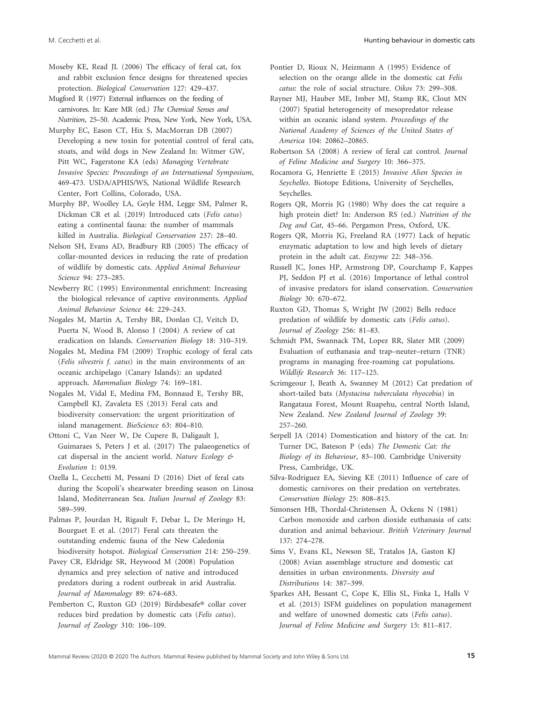Moseby KE, Read JL (2006) The efficacy of feral cat, fox and rabbit exclusion fence designs for threatened species protection. *Biological Conservation* 127: 429–437.

Mugford R (1977) External influences on the feeding of carnivores. In: Kare MR (ed.) *The Chemical Senses and Nutrition*, 25–50. Academic Press, New York, New York, USA.

Murphy EC, Eason CT, Hix S, MacMorran DB (2007) Developing a new toxin for potential control of feral cats, stoats, and wild dogs in New Zealand In: Witmer GW, Pitt WC, Fagerstone KA (eds) *Managing Vertebrate Invasive Species: Proceedings of an International Symposium*, 469-473. USDA/APHIS/WS, National Wildlife Research Center, Fort Collins, Colorado, USA.

Murphy BP, Woolley LA, Geyle HM, Legge SM, Palmer R, Dickman CR et al. (2019) Introduced cats (*Felis catus*) eating a continental fauna: the number of mammals killed in Australia. *Biological Conservation* 237: 28–40.

Nelson SH, Evans AD, Bradbury RB (2005) The efficacy of collar-mounted devices in reducing the rate of predation of wildlife by domestic cats. *Applied Animal Behaviour Science* 94: 273–285.

Newberry RC (1995) Environmental enrichment: Increasing the biological relevance of captive environments. *Applied Animal Behaviour Science* 44: 229–243.

Nogales M, Martin A, Tershy BR, Donlan CJ, Veitch D, Puerta N, Wood B, Alonso J (2004) A review of cat eradication on Islands. *Conservation Biology* 18: 310–319.

Nogales M, Medina FM (2009) Trophic ecology of feral cats (*Felis silvestris f. catus*) in the main environments of an oceanic archipelago (Canary Islands): an updated approach. *Mammalian Biology* 74: 169–181.

Nogales M, Vidal E, Medina FM, Bonnaud E, Tershy BR, Campbell KJ, Zavaleta ES (2013) Feral cats and biodiversity conservation: the urgent prioritization of island management. *BioScience* 63: 804–810.

Ottoni C, Van Neer W, De Cupere B, Daligault J, Guimaraes S, Peters J et al. (2017) The palaeogenetics of cat dispersal in the ancient world. *Nature Ecology & Evolution* 1: 0139.

Ozella L, Cecchetti M, Pessani D (2016) Diet of feral cats during the Scopoli's shearwater breeding season on Linosa Island, Mediterranean Sea. *Italian Journal of Zoology* 83: 589–599.

Palmas P, Jourdan H, Rigault F, Debar L, De Meringo H, Bourguet E et al. (2017) Feral cats threaten the outstanding endemic fauna of the New Caledonia biodiversity hotspot. *Biological Conservation* 214: 250–259.

Pavey CR, Eldridge SR, Heywood M (2008) Population dynamics and prey selection of native and introduced predators during a rodent outbreak in arid Australia. *Journal of Mammalogy* 89: 674–683.

Pemberton C, Ruxton GD (2019) Birdsbesafe® collar cover reduces bird predation by domestic cats (*Felis catus*). *Journal of Zoology* 310: 106–109.

Pontier D, Rioux N, Heizmann A (1995) Evidence of selection on the orange allele in the domestic cat *Felis catus*: the role of social structure. *Oikos* 73: 299–308.

Rayner MJ, Hauber ME, Imber MJ, Stamp RK, Clout MN (2007) Spatial heterogeneity of mesopredator release within an oceanic island system. *Proceedings of the National Academy of Sciences of the United States of America* 104: 20862–20865.

Robertson SA (2008) A review of feral cat control. *Journal of Feline Medicine and Surgery* 10: 366–375.

Rocamora G, Henriette E (2015) *Invasive Alien Species in Seychelles*. Biotope Editions, University of Seychelles, Seychelles.

Rogers QR, Morris JG (1980) Why does the cat require a high protein diet? In: Anderson RS (ed.) *Nutrition of the Dog and Cat*, 45–66. Pergamon Press, Oxford, UK.

Rogers QR, Morris JG, Freeland RA (1977) Lack of hepatic enzymatic adaptation to low and high levels of dietary protein in the adult cat. *Enzyme* 22: 348–356.

Russell JC, Jones HP, Armstrong DP, Courchamp F, Kappes PJ, Seddon PJ et al. (2016) Importance of lethal control of invasive predators for island conservation. *Conservation Biology* 30: 670–672.

Ruxton GD, Thomas S, Wright JW (2002) Bells reduce predation of wildlife by domestic cats (*Felis catus*). *Journal of Zoology* 256: 81–83.

Schmidt PM, Swannack TM, Lopez RR, Slater MR (2009) Evaluation of euthanasia and trap–neuter–return (TNR) programs in managing free-roaming cat populations. *Wildlife Research* 36: 117–125.

Scrimgeour J, Beath A, Swanney M (2012) Cat predation of short-tailed bats (*Mystacina tuberculata rhyocobia*) in Rangataua Forest, Mount Ruapehu, central North Island, New Zealand. *New Zealand Journal of Zoology* 39: 257–260.

Serpell JA (2014) Domestication and history of the cat. In: Turner DC, Bateson P (eds) *The Domestic Cat: the Biology of its Behaviour*, 83–100. Cambridge University Press, Cambridge, UK.

Silva-Rodriguez EA, Sieving KE (2011) Influence of care of domestic carnivores on their predation on vertebrates. *Conservation Biology* 25: 808–815.

Simonsen HB, Thordal-Christensen Å, Ockens N (1981) Carbon monoxide and carbon dioxide euthanasia of cats: duration and animal behaviour. *British Veterinary Journal* 137: 274–278.

Sims V, Evans KL, Newson SE, Tratalos JA, Gaston KJ (2008) Avian assemblage structure and domestic cat densities in urban environments. *Diversity and Distributions* 14: 387–399.

Sparkes AH, Bessant C, Cope K, Ellis SL, Finka L, Halls V et al. (2013) ISFM guidelines on population management and welfare of unowned domestic cats (*Felis catus*). *Journal of Feline Medicine and Surgery* 15: 811–817.